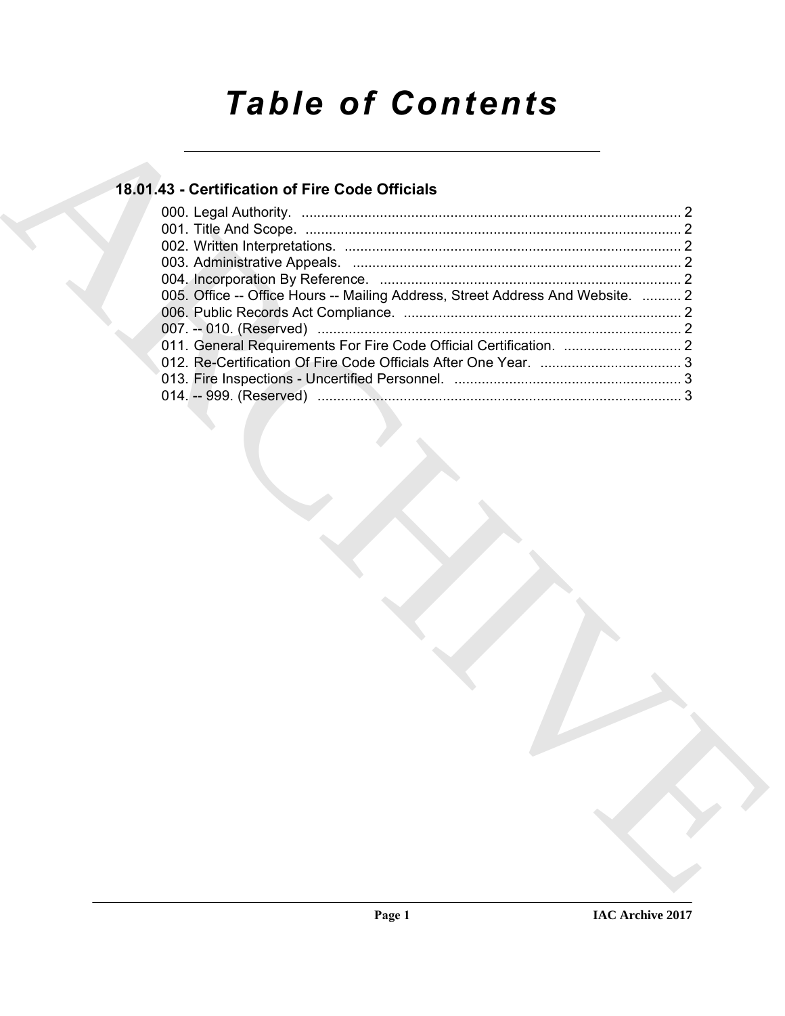# *Table of Contents*

### **18.01.43 - Certification of Fire Code Officials**

| 18.01.43 - Certification of Fire Code Officials                                |
|--------------------------------------------------------------------------------|
|                                                                                |
|                                                                                |
|                                                                                |
|                                                                                |
| 005. Office -- Office Hours -- Mailing Address, Street Address And Website.  2 |
|                                                                                |
|                                                                                |
|                                                                                |
|                                                                                |
|                                                                                |
|                                                                                |
|                                                                                |
|                                                                                |
|                                                                                |
|                                                                                |
|                                                                                |
|                                                                                |
|                                                                                |
|                                                                                |
|                                                                                |
|                                                                                |
|                                                                                |
|                                                                                |
|                                                                                |
|                                                                                |
|                                                                                |
|                                                                                |
|                                                                                |
|                                                                                |
|                                                                                |
|                                                                                |
|                                                                                |
|                                                                                |
|                                                                                |
|                                                                                |
|                                                                                |
|                                                                                |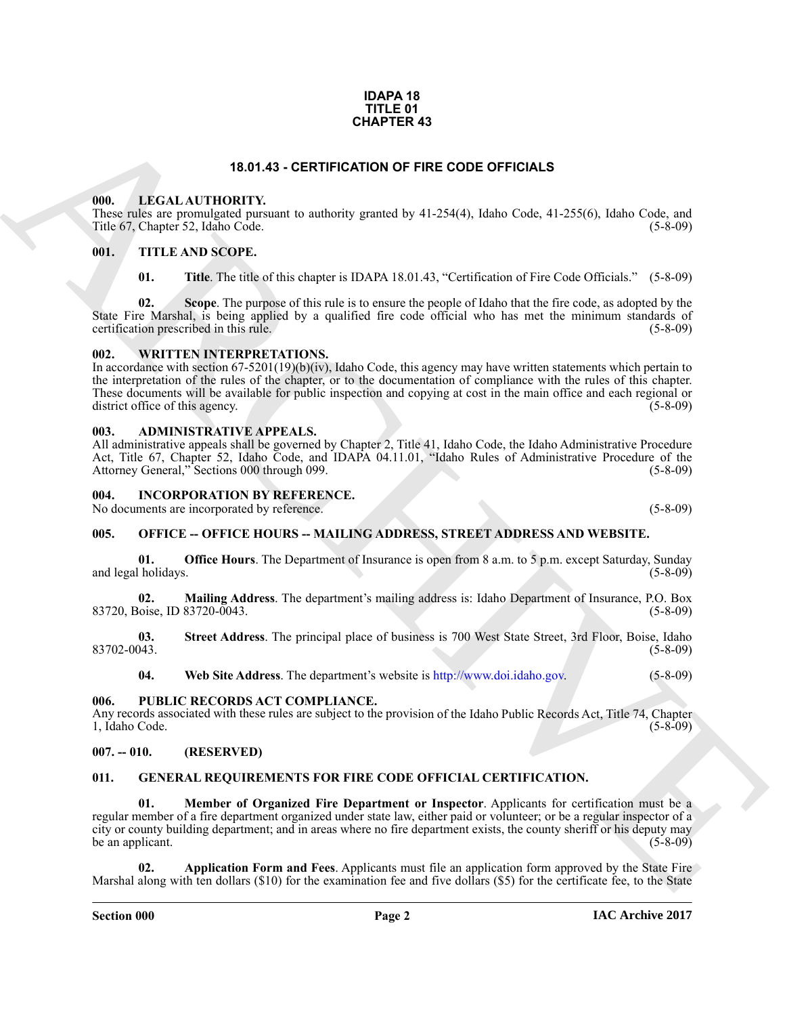#### **IDAPA 18 TITLE 01 CHAPTER 43**

#### **18.01.43 - CERTIFICATION OF FIRE CODE OFFICIALS**

#### <span id="page-1-1"></span><span id="page-1-0"></span>**000. LEGAL AUTHORITY.**

These rules are promulgated pursuant to authority granted by 41-254(4), Idaho Code, 41-255(6), Idaho Code, and Title 67, Chapter 52, Idaho Code.

#### <span id="page-1-2"></span>**001. TITLE AND SCOPE.**

**01. Title**. The title of this chapter is IDAPA 18.01.43, "Certification of Fire Code Officials." (5-8-09)

**02. Scope**. The purpose of this rule is to ensure the people of Idaho that the fire code, as adopted by the State Fire Marshal, is being applied by a qualified fire code official who has met the minimum standards of certification prescribed in this rule. (5-8-09) certification prescribed in this rule.

#### <span id="page-1-3"></span>**002. WRITTEN INTERPRETATIONS.**

**EXAMPLE RAS**<br> **EXAMPLE CONTINUAT[IV](http://www.doi.idaho.gov)E CONTINUATIVE CONTINUATIVE CONTINUATIVE CONTINUATIVE CONTINUATIVE CONTINUATIVE CONTINUATIVE CONTINUATIVE CONTINUATIVE CONTINUATIVE CONTINUATIVE CONTINUATIVE CONTINUATIVE CONTINUATIVE CO** In accordance with section  $67-5201(19)(b)(iv)$ , Idaho Code, this agency may have written statements which pertain to the interpretation of the rules of the chapter, or to the documentation of compliance with the rules of this chapter. These documents will be available for public inspection and copying at cost in the main office and each regional or district office of this agency. (5-8-09) district office of this agency.

#### <span id="page-1-4"></span>**003. ADMINISTRATIVE APPEALS.**

All administrative appeals shall be governed by Chapter 2, Title 41, Idaho Code, the Idaho Administrative Procedure Act, Title 67, Chapter 52, Idaho Code, and IDAPA 04.11.01, "Idaho Rules of Administrative Procedure of the Attorney General," Sections 000 through 099. (5-8-09) (5-8-09)

#### <span id="page-1-5"></span>**004. INCORPORATION BY REFERENCE.**

No documents are incorporated by reference. (5-8-09)

#### <span id="page-1-6"></span>**005. OFFICE -- OFFICE HOURS -- MAILING ADDRESS, STREET ADDRESS AND WEBSITE.**

**01. Office Hours**. The Department of Insurance is open from 8 a.m. to 5 p.m. except Saturday, Sunday holidays. (5-8-09) and legal holidays.

**02. Mailing Address**. The department's mailing address is: Idaho Department of Insurance, P.O. Box 83720, Boise, ID 83720-0043.

**03.** Street Address. The principal place of business is 700 West State Street, 3rd Floor, Boise, Idaho (5-8-09) 83702-0043. (5-8-09)

**04. Web Site Address**. The department's website is http://www.doi.idaho.gov. (5-8-09)

#### <span id="page-1-7"></span>**006. PUBLIC RECORDS ACT COMPLIANCE.**

Any records associated with these rules are subject to the provision of the Idaho Public Records Act, Title 74, Chapter 1, Idaho Code. (5-8-09) 1, Idaho Code.

#### <span id="page-1-8"></span>**007. -- 010. (RESERVED)**

#### <span id="page-1-10"></span><span id="page-1-9"></span>**011. GENERAL REQUIREMENTS FOR FIRE CODE OFFICIAL CERTIFICATION.**

<span id="page-1-12"></span>**01. Member of Organized Fire Department or Inspector**. Applicants for certification must be a regular member of a fire department organized under state law, either paid or volunteer; or be a regular inspector of a city or county building department; and in areas where no fire department exists, the county sheriff or his deputy may be an applicant.  $(5-8-09)$ 

<span id="page-1-11"></span>**02. Application Form and Fees**. Applicants must file an application form approved by the State Fire Marshal along with ten dollars (\$10) for the examination fee and five dollars (\$5) for the certificate fee, to the State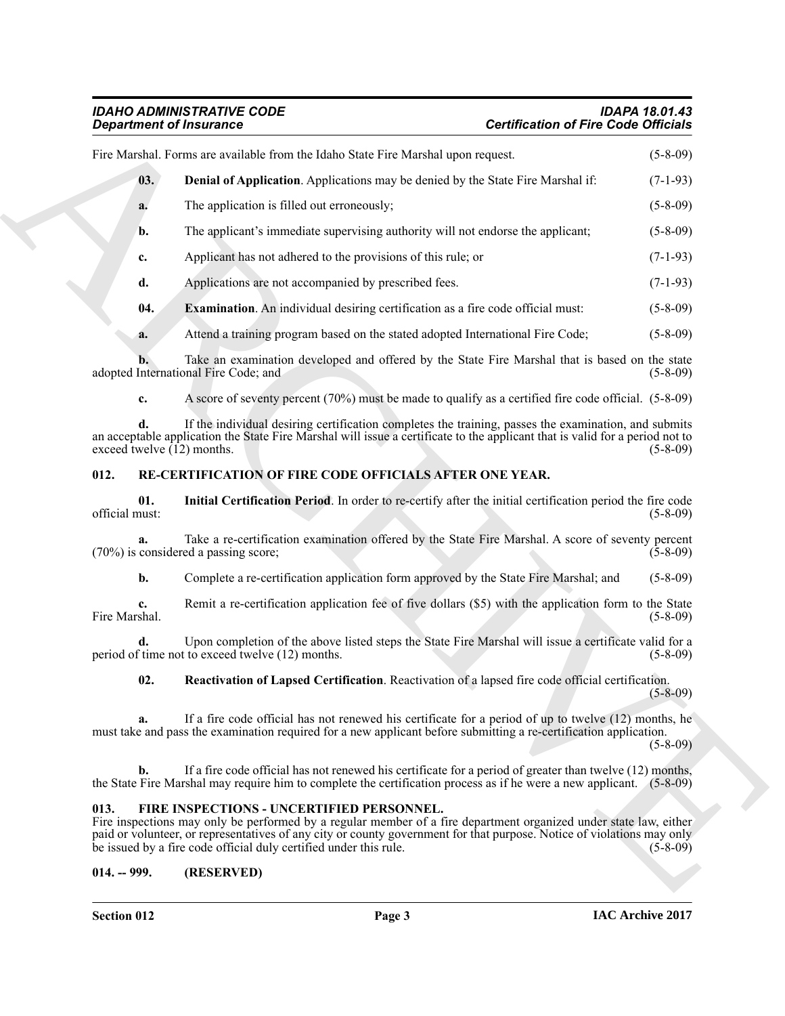<span id="page-2-4"></span>

|                              | <b>Department of Insurance</b>                                                                                                                                                                                                                                                                                                                                | <b>Certification of Fire Code Officials</b> |
|------------------------------|---------------------------------------------------------------------------------------------------------------------------------------------------------------------------------------------------------------------------------------------------------------------------------------------------------------------------------------------------------------|---------------------------------------------|
|                              | Fire Marshal. Forms are available from the Idaho State Fire Marshal upon request.                                                                                                                                                                                                                                                                             | $(5-8-09)$                                  |
| 03.                          | <b>Denial of Application.</b> Applications may be denied by the State Fire Marshal if:                                                                                                                                                                                                                                                                        | $(7-1-93)$                                  |
| a.                           | The application is filled out erroneously;                                                                                                                                                                                                                                                                                                                    | $(5-8-09)$                                  |
| b.                           | The applicant's immediate supervising authority will not endorse the applicant;                                                                                                                                                                                                                                                                               | $(5-8-09)$                                  |
| c.                           | Applicant has not adhered to the provisions of this rule; or                                                                                                                                                                                                                                                                                                  | $(7-1-93)$                                  |
| d.                           | Applications are not accompanied by prescribed fees.                                                                                                                                                                                                                                                                                                          | $(7-1-93)$                                  |
| 04.                          | <b>Examination</b> . An individual desiring certification as a fire code official must:                                                                                                                                                                                                                                                                       | $(5-8-09)$                                  |
| a.                           | Attend a training program based on the stated adopted International Fire Code;                                                                                                                                                                                                                                                                                | $(5-8-09)$                                  |
|                              | Take an examination developed and offered by the State Fire Marshal that is based on the state<br>adopted International Fire Code; and                                                                                                                                                                                                                        | $(5-8-09)$                                  |
| c.                           | A score of seventy percent (70%) must be made to qualify as a certified fire code official. (5-8-09)                                                                                                                                                                                                                                                          |                                             |
| exceed twelve $(12)$ months. | If the individual desiring certification completes the training, passes the examination, and submits<br>an acceptable application the State Fire Marshal will issue a certificate to the applicant that is valid for a period not to                                                                                                                          | $(5-8-09)$                                  |
| 012.                         | RE-CERTIFICATION OF FIRE CODE OFFICIALS AFTER ONE YEAR.                                                                                                                                                                                                                                                                                                       |                                             |
| 01.<br>official must:        | Initial Certification Period. In order to re-certify after the initial certification period the fire code                                                                                                                                                                                                                                                     | $(5-8-09)$                                  |
| a.                           | Take a re-certification examination offered by the State Fire Marshal. A score of seventy percent<br>(70%) is considered a passing score;                                                                                                                                                                                                                     | $(5-8-09)$                                  |
| b.                           | Complete a re-certification application form approved by the State Fire Marshal; and                                                                                                                                                                                                                                                                          | $(5-8-09)$                                  |
| c.<br>Fire Marshal.          | Remit a re-certification application fee of five dollars (\$5) with the application form to the State                                                                                                                                                                                                                                                         | $(5-8-09)$                                  |
| d.                           | Upon completion of the above listed steps the State Fire Marshal will issue a certificate valid for a<br>period of time not to exceed twelve (12) months.                                                                                                                                                                                                     | $(5-8-09)$                                  |
| 02.                          | Reactivation of Lapsed Certification. Reactivation of a lapsed fire code official certification.                                                                                                                                                                                                                                                              | $(5 - 8 - 09)$                              |
| a.                           | If a fire code official has not renewed his certificate for a period of up to twelve (12) months, he<br>must take and pass the examination required for a new applicant before submitting a re-certification application.                                                                                                                                     | $(5 - 8 - 09)$                              |
| b.                           | If a fire code official has not renewed his certificate for a period of greater than twelve (12) months,<br>the State Fire Marshal may require him to complete the certification process as if he were a new applicant. (5-8-09)                                                                                                                              |                                             |
| 013.                         | FIRE INSPECTIONS - UNCERTIFIED PERSONNEL.<br>Fire inspections may only be performed by a regular member of a fire department organized under state law, either<br>paid or volunteer, or representatives of any city or county government for that purpose. Notice of violations may only<br>be issued by a fire code official duly certified under this rule. | $(5-8-09)$                                  |
| $014. - 999.$                | (RESERVED)                                                                                                                                                                                                                                                                                                                                                    |                                             |

#### <span id="page-2-7"></span><span id="page-2-6"></span><span id="page-2-5"></span><span id="page-2-0"></span>**012. RE-CERTIFICATION OF FIRE CODE OFFICIALS AFTER ONE YEAR.**

#### <span id="page-2-8"></span><span id="page-2-3"></span><span id="page-2-1"></span>**013. FIRE INSPECTIONS - UNCERTIFIED PERSONNEL.**

#### <span id="page-2-2"></span>**014. -- 999. (RESERVED)**